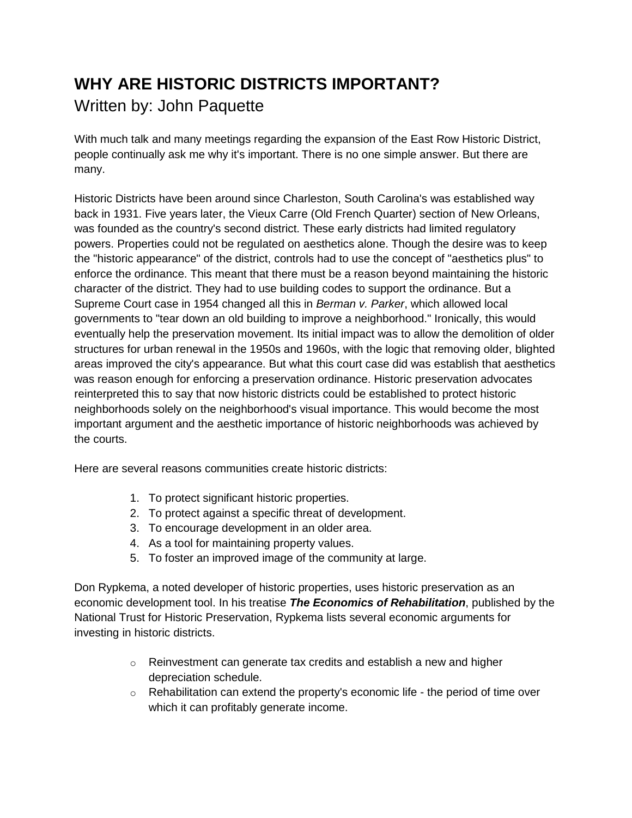## **WHY ARE HISTORIC DISTRICTS IMPORTANT?** Written by: John Paquette

With much talk and many meetings regarding the expansion of the East Row Historic District, people continually ask me why it's important. There is no one simple answer. But there are many.

Historic Districts have been around since Charleston, South Carolina's was established way back in 1931. Five years later, the Vieux Carre (Old French Quarter) section of New Orleans, was founded as the country's second district. These early districts had limited regulatory powers. Properties could not be regulated on aesthetics alone. Though the desire was to keep the "historic appearance" of the district, controls had to use the concept of "aesthetics plus" to enforce the ordinance. This meant that there must be a reason beyond maintaining the historic character of the district. They had to use building codes to support the ordinance. But a Supreme Court case in 1954 changed all this in *Berman v. Parker*, which allowed local governments to "tear down an old building to improve a neighborhood." Ironically, this would eventually help the preservation movement. Its initial impact was to allow the demolition of older structures for urban renewal in the 1950s and 1960s, with the logic that removing older, blighted areas improved the city's appearance. But what this court case did was establish that aesthetics was reason enough for enforcing a preservation ordinance. Historic preservation advocates reinterpreted this to say that now historic districts could be established to protect historic neighborhoods solely on the neighborhood's visual importance. This would become the most important argument and the aesthetic importance of historic neighborhoods was achieved by the courts.

Here are several reasons communities create historic districts:

- 1. To protect significant historic properties.
- 2. To protect against a specific threat of development.
- 3. To encourage development in an older area.
- 4. As a tool for maintaining property values.
- 5. To foster an improved image of the community at large.

Don Rypkema, a noted developer of historic properties, uses historic preservation as an economic development tool. In his treatise *The Economics of Rehabilitation*, published by the National Trust for Historic Preservation, Rypkema lists several economic arguments for investing in historic districts.

- $\circ$  Reinvestment can generate tax credits and establish a new and higher depreciation schedule.
- $\circ$  Rehabilitation can extend the property's economic life the period of time over which it can profitably generate income.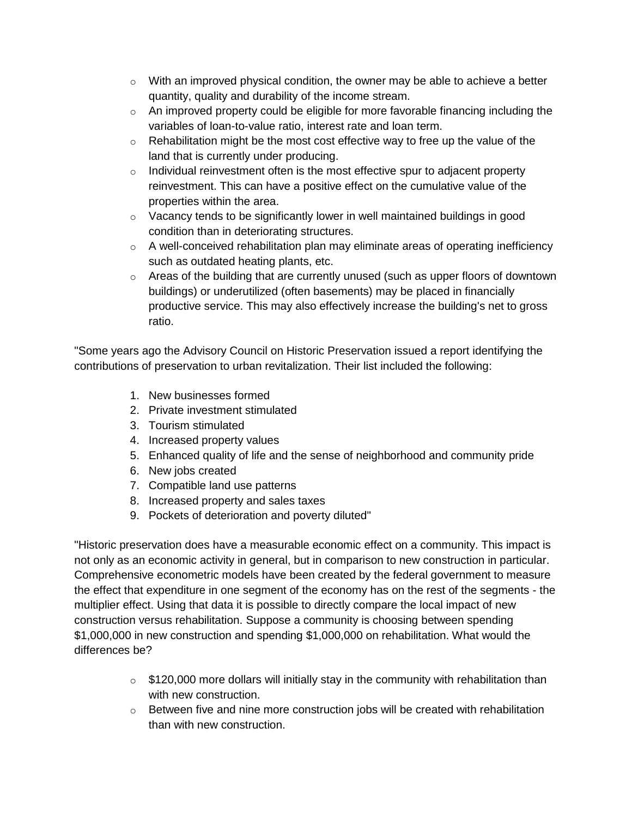- $\circ$  With an improved physical condition, the owner may be able to achieve a better quantity, quality and durability of the income stream.
- $\circ$  An improved property could be eligible for more favorable financing including the variables of loan-to-value ratio, interest rate and loan term.
- $\circ$  Rehabilitation might be the most cost effective way to free up the value of the land that is currently under producing.
- $\circ$  Individual reinvestment often is the most effective spur to adjacent property reinvestment. This can have a positive effect on the cumulative value of the properties within the area.
- o Vacancy tends to be significantly lower in well maintained buildings in good condition than in deteriorating structures.
- $\circ$  A well-conceived rehabilitation plan may eliminate areas of operating inefficiency such as outdated heating plants, etc.
- $\circ$  Areas of the building that are currently unused (such as upper floors of downtown buildings) or underutilized (often basements) may be placed in financially productive service. This may also effectively increase the building's net to gross ratio.

"Some years ago the Advisory Council on Historic Preservation issued a report identifying the contributions of preservation to urban revitalization. Their list included the following:

- 1. New businesses formed
- 2. Private investment stimulated
- 3. Tourism stimulated
- 4. Increased property values
- 5. Enhanced quality of life and the sense of neighborhood and community pride
- 6. New jobs created
- 7. Compatible land use patterns
- 8. Increased property and sales taxes
- 9. Pockets of deterioration and poverty diluted"

"Historic preservation does have a measurable economic effect on a community. This impact is not only as an economic activity in general, but in comparison to new construction in particular. Comprehensive econometric models have been created by the federal government to measure the effect that expenditure in one segment of the economy has on the rest of the segments - the multiplier effect. Using that data it is possible to directly compare the local impact of new construction versus rehabilitation. Suppose a community is choosing between spending \$1,000,000 in new construction and spending \$1,000,000 on rehabilitation. What would the differences be?

- $\circ$  \$120,000 more dollars will initially stay in the community with rehabilitation than with new construction.
- o Between five and nine more construction jobs will be created with rehabilitation than with new construction.